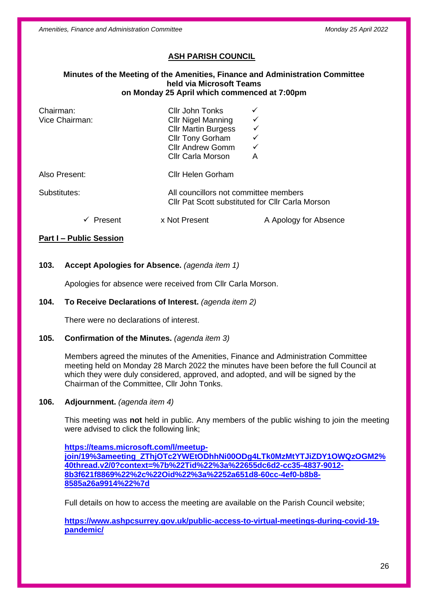*Amenities, Finance and Administration Committee Monday 25 April 2022*

### **ASH PARISH COUNCIL**

#### **Minutes of the Meeting of the Amenities, Finance and Administration Committee held via Microsoft Teams on Monday 25 April which commenced at 7:00pm**

| Chairman:<br>Vice Chairman: | Cllr John Tonks<br><b>CIIr Nigel Manning</b><br><b>Cllr Martin Burgess</b><br>Cllr Tony Gorham<br><b>Cllr Andrew Gomm</b><br><b>Cllr Carla Morson</b> | А                                                                                         |  |
|-----------------------------|-------------------------------------------------------------------------------------------------------------------------------------------------------|-------------------------------------------------------------------------------------------|--|
| Also Present:               | <b>Cllr Helen Gorham</b>                                                                                                                              |                                                                                           |  |
| Substitutes:                |                                                                                                                                                       | All councillors not committee members<br>Cllr Pat Scott substituted for Cllr Carla Morson |  |
| Present                     | x Not Present                                                                                                                                         | A Apology for Absence                                                                     |  |

#### **Part I – Public Session**

### **103. Accept Apologies for Absence.** *(agenda item 1)*

Apologies for absence were received from Cllr Carla Morson.

#### **104. To Receive Declarations of Interest.** *(agenda item 2)*

There were no declarations of interest.

#### **105. Confirmation of the Minutes.** *(agenda item 3)*

Members agreed the minutes of the Amenities, Finance and Administration Committee meeting held on Monday 28 March 2022 the minutes have been before the full Council at which they were duly considered, approved, and adopted, and will be signed by the Chairman of the Committee, Cllr John Tonks.

#### **106. Adjournment.** *(agenda item 4)*

This meeting was **not** held in public. Any members of the public wishing to join the meeting were advised to click the following link;

**[https://teams.microsoft.com/l/meetup](https://teams.microsoft.com/l/meetup-join/19%3ameeting_ZThjOTc2YWEtODhhNi00ODg4LTk0MzMtYTJiZDY1OWQzOGM2%40thread.v2/0?context=%7b%22Tid%22%3a%22655dc6d2-cc35-4837-9012-8b3f621f8869%22%2c%22Oid%22%3a%2252a651d8-60cc-4ef0-b8b8-8585a26a9914%22%7d)[join/19%3ameeting\\_ZThjOTc2YWEtODhhNi00ODg4LTk0MzMtYTJiZDY1OWQzOGM2%](https://teams.microsoft.com/l/meetup-join/19%3ameeting_ZThjOTc2YWEtODhhNi00ODg4LTk0MzMtYTJiZDY1OWQzOGM2%40thread.v2/0?context=%7b%22Tid%22%3a%22655dc6d2-cc35-4837-9012-8b3f621f8869%22%2c%22Oid%22%3a%2252a651d8-60cc-4ef0-b8b8-8585a26a9914%22%7d) [40thread.v2/0?context=%7b%22Tid%22%3a%22655dc6d2-cc35-4837-9012-](https://teams.microsoft.com/l/meetup-join/19%3ameeting_ZThjOTc2YWEtODhhNi00ODg4LTk0MzMtYTJiZDY1OWQzOGM2%40thread.v2/0?context=%7b%22Tid%22%3a%22655dc6d2-cc35-4837-9012-8b3f621f8869%22%2c%22Oid%22%3a%2252a651d8-60cc-4ef0-b8b8-8585a26a9914%22%7d) [8b3f621f8869%22%2c%22Oid%22%3a%2252a651d8-60cc-4ef0-b8b8-](https://teams.microsoft.com/l/meetup-join/19%3ameeting_ZThjOTc2YWEtODhhNi00ODg4LTk0MzMtYTJiZDY1OWQzOGM2%40thread.v2/0?context=%7b%22Tid%22%3a%22655dc6d2-cc35-4837-9012-8b3f621f8869%22%2c%22Oid%22%3a%2252a651d8-60cc-4ef0-b8b8-8585a26a9914%22%7d) [8585a26a9914%22%7d](https://teams.microsoft.com/l/meetup-join/19%3ameeting_ZThjOTc2YWEtODhhNi00ODg4LTk0MzMtYTJiZDY1OWQzOGM2%40thread.v2/0?context=%7b%22Tid%22%3a%22655dc6d2-cc35-4837-9012-8b3f621f8869%22%2c%22Oid%22%3a%2252a651d8-60cc-4ef0-b8b8-8585a26a9914%22%7d)**

Full details on how to access the meeting are available on the Parish Council website;

**[https://www.ashpcsurrey.gov.uk/public-access-to-virtual-meetings-during-covid-19](https://www.ashpcsurrey.gov.uk/public-access-to-virtual-meetings-during-covid-19-pandemic/) [pandemic/](https://www.ashpcsurrey.gov.uk/public-access-to-virtual-meetings-during-covid-19-pandemic/)**